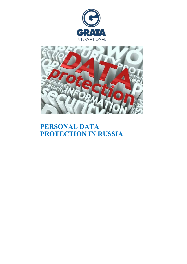



# **PERSONAL DATA PROTECTION IN RUSSIA**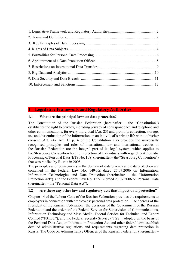# **1 Legislative Framework and Regulatory Authorities**

# **1.1 What are the principal laws on data protection?**

The Constitution of the Russian Federation (hereinafter – the "Constitution") establishes the right to privacy, including privacy of correspondence and telephone and other communications, for every individual (Art. 23) and prohibits collection, storage, use and dissemination of the information on an individual's private life without his/her consent (Art. 24). Art. 15 p. 4 of the Constitution also provides the universally recognised principles and rules of international law and international treaties of the Russian Federation are the integral part of its legal system, which applies to the Strasbourg Convention for the Protection of Individuals with regard to Automatic Processing of Personal Data (ETS No. 108) (hereinafter – the "Strasbourg Convention") that was ratified by Russia in 2005.

The principles and requirements in the domain of data privacy and data protection are contained in the Federal Law No. 149-FZ dated 27.07.2006 on Information, Information Technologies and Data Protection (hereinafter – the "Information Protection Act"), and the Federal Law No. 152-FZ dated 27.07.2006 on Personal Data (hereinafter – the "Personal Data Act").

# **1.2 Are there any other law and regulatory acts that impact data protection?**

Chapter 14 of the Labour Code of the Russian Federation provides the requirements to employers in connection with employees' personal data protection. The decrees of the President of the Russian Federation, the decisions of the Government of the Russian Federation and the orders of the Federal Service for Supervision of Communications, Information Technology and Mass Media, Federal Service for Technical and Export Control ("FSTEC"), and the Federal Security Service ("FSS") adopted on the basis of the Personal Data Act, an Information Protection Act and other federal laws establish detailed administrative regulations and requirements regarding data protection in Russia. The Code on Administrative Offences of the Russian Federation (hereinafter –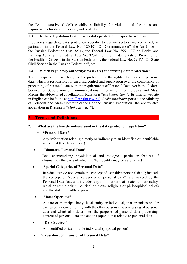<span id="page-2-0"></span>the "Administrative Code") establishes liability for violation of the rules and requirements for data processing and protection.

# **1.3 Is there legislation that impacts data protection in specific sectors?**

Provisions regarding data protection specific to certain sectors are contained, in particular, in the Federal Law No. 126-FZ "On Communication", the Air Code of the Russian Federation (Art. 85.1), the Federal Law No. 395-1-FZ on Banks and Banking Activity, the Federal Law No. 323-FZ on the Fundamentals of Protection of the Health of Citizens in the Russian Federation, the Federal Law No. 79-FZ "On State Civil Service in the Russian Federation", etc.

# **1.4 Which regulatory authority(ies) is (are) supervising data protection?**

The principal authorised body for the protection of the rights of subjects of personal data, which is responsible for ensuring control and supervision over the compliance of processing of personal data with the requirements of Personal Data Act is the Federal Service for Supervision of Communications, Information Technologies and Mass Media (the abbreviated appellation in Russian is "*Roskomnadzor*"). Its official website in English can be found at [http://eng.rkn.gov.ru/.](http://eng.rkn.gov.ru/) *Roskomnadzor* reports to the Ministry of Telecom and Mass Communications of the Russian Federation (the abbreviated appellation in Russian is "*Minkomsvyazy*").

# **2 Terms and Definitions**

# **2.1 What are the key definitions used in the data protection legislation?**

# <span id="page-2-1"></span>**"Personal Data"**

Any information relating directly or indirectly to an identified or identifiable individual (the data subject).

# **"Biometric Personal Data"**

Data characterising physiological and biological particular features of a human, on the basis of which his/her identity may be ascertained*.*

# **"Special Categories of Personal Data"**

Russian laws do not contain the concept of "sensitive personal data"; instead, the concept of "special categories of personal data" is envisaged by the Personal Data Act, and includes any information that relates to nationality, racial or ethnic origin, political opinions, religious or philosophical beliefs and the state of health or private life.

# **"Data Operator"**

A state or municipal body, legal entity or individual, that organises and/or carries out (alone or jointly with the other persons) the processing of personal data and which also determines the purposes of personal data processing, content of personal data and actions (operations) related to personal data.

# **"Data Subject"**

An identified or identifiable individual (physical person)

# **"Cross-border Transfer of Personal Data"**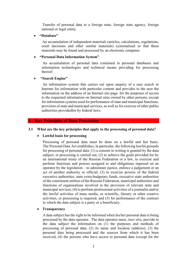<span id="page-3-0"></span>Transfer of personal data to a foreign state, foreign state agency, foreign national or legal entity*.*

**"Database"**

An accumulation of independent materials (articles, calculations, regulations, court decisions and other similar materials) systematised so that these materials may be found and processed by an electronic computer*.*

#### **"Personal Data Information System"**

An accumulation of personal data contained in personal databases and information technologies and technical means providing for processing thereof*.*

#### **"Search Engine"**

An information system that carries out upon enquiry of a user search in Internet for information with particular content and provides to the user the information on the address of an Internet site page for the purposes of access to the requested information on Internet sites owned by other persons, except for information systems used for performance of state and municipal functions, provision of state and municipal services, as well as for exercise of other public authorities providedfor by federal laws*.*

#### **3 Key Principles of Data Processing**

#### **3.1 What are the key principles that apply to the processing of personal data?**

#### **Lawful basis for processing**

Processing of personal data must be done on a lawful and fair basis. The Personal Data Act establishes, in particular, the following lawful grounds for processing of personal data: (1) a consent in writing is granted by the data subject, or processing is carried out; (2) to achieve the goals provided for by an international treaty of the Russian Federation or a law, to exercise and perform functions and powers assigned to and obligations imposed on an operator by the legislation – to administer justice, enforce a judgement or an act of another authority or official; (3) to exercise powers of the federal executive authorities, state extra-budgetary funds, executive state authorities of the constituent entities of the Russian Federation, municipal authorities and functions of organisations involved in the provision of relevant state and municipal services; (4) to perform professional activities of a journalist and/or the lawful activities of mass media, or scientific, literary or other creative activities, or processing is required; and (5) for performance of the contract to which the data subject is a party or a beneficiary.

#### **Transparency**

A data subject has the right to be informed when his/her personal data is being processed by the data operator. The data operator must, *inter alia*, provide to the data subject the information on (1) the purposes and methods of processing of personal data, (2) its name and location (address), (3) the personal data being processed and the sources from which it has been received, (4) the persons who have access to personal data (except for the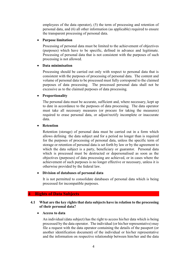<span id="page-4-0"></span>employees of the data operator), (5) the term of processing and retention of personal data, and (6) all other information (as applicable) required to ensure the transparent processing of personal data.

#### **Purpose limitation**

Processing of personal data must be limited to the achievement of objectives (purposes) which have to be specific, defined in advance and legitimate. Processing of personal data that is not consistent with the purposes of such processing is not allowed.

## **Data minimisation**

Processing should be carried out only with respect to personal data that is consistent with the purposes of processing of personal data. The content and volume of personal data to be processed must fully correspond to the claimed purposes of data processing. The processed personal data shall not be excessive as to the claimed purposes of data processing.

## **Proportionality**

The personal data must be accurate, sufficient and, where necessary, kept up to date in accordance to the purposes of data processing. The data operator must take all necessary measures (or procure for taking the measures) required to erase personal data, or adjust/rectify incomplete or inaccurate data.

## **Retention**

Retention (storage) of personal data must be carried out in a form which allows defining the data subject and for a period no longer than is required for the purposes of processing of personal data, unless the specific term of storage or retention of personal data is set forth by law or by the agreement to which the data subject is a party, beneficiary or guarantor. Personal data which is processed must be destructed or depersonalised as soon as the objectives (purposes) of data processing are achieved, or in cases where the achievement of such purposes is no longer effective or necessary, unless it is otherwise provided by the federal law.

# **Division of databases of personal data**

It is not permitted to consolidate databases of personal data which is being processed for incompatible purposes.

# **4 Rights of Data Subjects**

## **4.1 What are the key rights that data subjects have in relation to the processing of their personal data?**

#### **Access to data**

An individual (data subject) has the right to access his/her data which is being processed by the data operator. The individual (or his/her representative) may file a request with the data operator containing the details of the passport (or another identification document) of the individual or his/her representative and the information on respective relationship between him/her and the data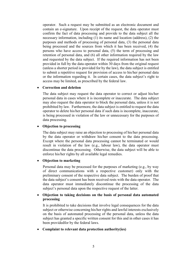operator. Such a request may be submitted as an electronic document and contain an e-signature. Upon receipt of the request, the data operator must confirm the fact of data processing and provide to the data subject all the necessary information, including (1) its name and location (address), (2) the purposes and methods of processing of personal data, (3) the personal data being processed and the sources from which it has been received, (4) the persons who have access to personal data, (5) the term of processing and retention of personal data, and (6) all other information required by the law and requested by the data subject. If the required information has not been provided in full by the data operator within 30 days from the original request (unless a shorter period is provided for by the law), the data subject is entitled to submit a repetitive request for provision of access to his/her personal data or the information regarding it. In certain cases, the data subject's right to access may be limited, as prescribed by the federal law.

#### **Correction and deletion**

The data subject may request the data operator to correct or adjust his/her personal data in cases where it is incomplete or inaccurate. The data subject may also request the data operator to block the personal data, unless it is not prohibited by law. Furthermore, the data subject is entitled to request the data operator to delete his/her personal data if such data is incomplete, inaccurate, is being processed in violation of the law or unnecessary for the purposes of data processing.

#### **Objection to processing**

The data subject may raise an objection to processing of his/her personal data by the data operator or withdraw his/her consent to the data processing. Except where the personal data processing cannot be terminated or would result in violation of the law (e.g., labour law), the data operator must discontinue the data processing. Otherwise, the data subject will be able to enforce his/her rights by all available legal remedies.

#### **Objection to marketing**

Personal data may be processed for the purposes of marketing (e.g., by way of direct communications with a respective customer) only with the preliminary consent of the respective data subject. The burden of proof that the data subject's consent has been received rests with the data operator. The data operator must immediately discontinue the processing of the data subject's personal data upon the respective request of the latter.

#### **Objection to taking decisions on the basis of personal data automated processing**

It is prohibited to take decisions that involve legal consequences for the data subject or otherwise concerning his/her rights and lawful interests exclusively on the basis of automated processing of the personal data, unless the data subject has granted a specific written consent for this and in other cases it has been providedfor by the federal laws.

#### **Complaint to relevant data protection authority(ies)**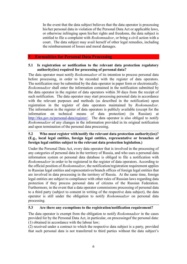<span id="page-6-0"></span>In the event that the data subject believes that the data operator is processing his/her personal data in violation of the Personal Data Act or applicable laws, or otherwise infringing upon his/her rights and freedoms, the data subject is entitled to file a complaint with *Roskomnadzor*, or bring a civil action with a court. The data subject may avail herself of other legal remedies, including the reimbursement of losses and moral damages.

#### **5 Formalities for Personal Data Processing**

#### **5.1 Is registration or notification to the relevant data protection regulatory authority(ies) required for processing of personal data?**

The data operator must notify *Roskomnadzor* of its intention to process personal data before processing, in order to be recorded with the register of data operators. The notification may be submitted by the data operator in paper form or electronically. *Roskomnadzor* shall enter the information contained in the notification submitted by the data operator in the register of data operators within 30 days from the receipt of such notification. The data operator may start processing personal data in accordance with the relevant purposes and methods (as described in the notification) upon registration in the register of data operators maintained by *Roskomandzor*. The information in the register of data operators is publicly available (except for the information on technical means of data protection) (in Russian) at [http://rkn.gov.ru/personal-data/register/.](http://rkn.gov.ru/personal-data/register/) The data operator is also obliged to notify *Roskomnadzor* of any changes in the information provided in its original notification and upon termination of the personal data processing.

## **5.2 Who must register with/notify the relevant data protection authority(ies)? (E.g., local legal entities, foreign legal entities, representative or branches of foreign legal entities subject to the relevant data protection legislation.)**

Under the Personal Data Act, every data operator that is involved in the processing of any categories of personal data in the territory of Russia, and who uses a personal data information system or personal data database is obliged to file a notification with *Roskomnadzor* in order to be registered in the register of data operators. According to the official position of *Roskomnadzor*, the notification/registration requirement applies to Russian legal entities and representatives/branch offices of foreign legal entities that are involved in data processing in the territory of Russia. At the same time, foreign legal entities are subject to compliance with other rules of Russian laws regarding data protection if they process personal data of citizens of the Russian Federation. Furthermore, in the event that a data operator commissions processing of personal data to a third party (subject to consent in writing of the respective data subject), the data operator is still under the obligation to notify *Roskomnadzor* on personal data processing.

# **5.3 Are there any exemptions to the registration/notification requirement?**

The data operator is exempt from the obligation to notify *Roskomnadzor* in the cases provided for by the Personal Data Act, in particular, on processingof the personal data: (1) obtained in accordance with the labour law;

(2) received under a contract to which the respective data subject is a party, provided that such personal data is not transferred to third parties without the data subject's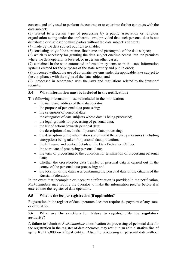consent, and only used to perform the contract or to enter into further contracts with the data subject;

(3) related to a certain type of processing by a public association or religious organisation acting under the applicable laws, provided that such personal data is not distributed or disclosed to third parties without the data subject's consent;

(4) made by the data subject publicly available;

(5) consisting only of the surname, first name and patronymic of the data subject;

(6) which is necessary for granting the data subject onetime access into the premises where the data operator is located, or in certain other cases;

(7) contained in the state automated information systems or in the state information systems created for the purposes of the state security and public order;

(8) processed without the use of automatic systems under the applicable laws subject to the compliance with the rights of the data subject; and

(9) processed in accordance with the laws and regulations related to the transport security.

## **5.4 What information must be included in the notification?**

The following information must be included in the notification:

- the name and address of the data operator;
- the purpose of personal data processing;
- $-$  the categories of personal data;
- the categories of data subjects whose data is being processed;
- the legal grounds for processing of personal data;
- $-$  the list of actions towards personal data;
- $-$  the description of methods of personal data processing;
- the description of the information systems and the security measures (including encryption) being taken for personal data protection;
- the full name and contact details of the Data Protection Officer;
- $\theta$  the start date of processing personal data;
- the term of processing or the condition for termination of processing personal data;
- whether the cross-border data transfer of personal data is carried out in the course of the personal data processing; and
- the location of the databases containing the personal data of the citizens of the Russian Federation.

In the event that incomplete or inaccurate information is provided in the notification, *Roskomnadzor* may require the operator to make the information precise before it is entered into the register of data operators.

#### **5.5 What is the fee per registration (if applicable)?**

Registration in the register of data operators does not require the payment of any state or official fee.

## **5.6 What are the sanctions for failure to register/notify the regulatory authority?**

A failure to submit to *Roskomnadzor* a notification on processing of personal data for the registration in the register of data operators may result in an administrative fine of up to RUB 5,000 on a legal entity. Also, the processing of personal data without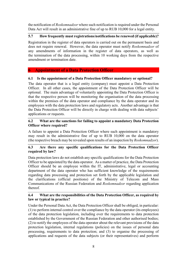<span id="page-8-0"></span>the notification of *Roskomnadzor* where such notification is required under the Personal Data Act will result in an administrative fine of up to RUB 10,000 for a legal entity.

# **5.7 How frequently must registrations/notifications be renewed (if applicable)?**

Registration in the register of data operators is carried out on the permanent basis and does not require renewal. However, the data operator must notify *Roskomnadzor* of any amendments of information in the register of data operators, as well as the termination of the data processing, within 10 working days from the respective amendment or termination date.

# **6 Appointment of a Data Protection Officer**

# **6.1 Is the appointment of a Data Protection Officer mandatory or optional?**

The data operator that is a legal entity (company) must appoint a Data Protection Officer. In all other cases, the appointment of the Data Protection Officer will be optional. The main advantage of voluntarily appointing the Data Protection Officer is that the respective person will be monitoring the organisation of the data processing within the premises of the data operator and compliance by the data operator and its employees with the data protection laws and regulatory acts. Another advantage is that the Data Protection Officer will be directly in charge with dealing with data subjects' applications or requests.

# **6.2 What are the sanctions for failing to appoint a mandatory Data Protection Officer where required?**

A failure to appoint a Data Protection Officer where such appointment is mandatory may result in the administrative fine of up to RUB 10,000 on the data operator (the respective breach may be revealed upon results of an inspection by *Roskomnadzor*).

# **6.3 Are there any specific qualifications for the Data Protection Officer required by law?**

Data protection laws do not establish any specific qualifications for the Data Protection Officer to be appointed by the data operator. As a matter of practice, the Data Protection Officer should be an employee within the IT, administrative, legal or accounting department of the data operator who has sufficient knowledge of the requirements regarding data processing and protection set forth by the applicable legislation and the clarifications (official positions) of the Ministry of Telecom and Mass Communications of the Russian Federation and *Roskomnadzor* regarding application thereof.

# **6.4 What are the responsibilities of the Data Protection Officer, as required by law or typical in practice?**

Under the Personal Data Act, the Data Protection Officer shall be obliged, in particular: (1) to perform internal control over the compliance by the data operator (its employees) of the data protection legislation, including over the requirements to data protection established by the Government of the Russian Federation and other authorised bodies; (2) to notify the employees of the data operator about the relevant provisions of the data protection legislation, internal regulations (policies) on the issues of personal data processing, requirements to data protection; and (3) to organise the processing of applications and requests of the data subjects (or their representatives) and perform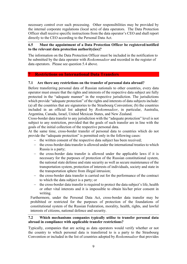<span id="page-9-0"></span>necessary control over such processing. Other responsibilities may be provided by the internal corporate regulations (local acts) of data operators. The Data Protection Officer shall receive specific instructions from the data operator's CEO and shall report directly to the CEO according to the Personal Data Act.

## **6.5 Must the appointment of a Data Protection Officer be registered/notified to the relevant data protection authority(ies)?**

The information on the Data Protection Officer must be included in the notification to be submitted by the data operator with *Roskomnadzor* and recorded in the register of data operators. Please see question 5.4 above.

# **7 Restrictions on International Data Transfers**

## **7.1 Are there any restrictions on the transfer of personal data abroad?**

Before transferring personal data of Russian nationals to other countries, every data operator must ensure that the rights and interests of the respective data subject are fully protected in the "adequate manner" in the respective jurisdiction. The jurisdictions which provide "adequate protection" of the rights and interests of data subjects include: (a) all the countries that are signatories to the Strasbourg Convention; (b) the countries included in an official list adopted by *Roskomnadzor*, in particular, Australia, Argentina, Canada, Israel, United Mexican States, and New Zealand.

Cross-border data transfer to any jurisdiction with the "adequate protection" level is not subject to any restriction, provided that the goals of such transfer are in line with the goals of the initial collection of the respective personal data.

At the same time, cross-border transfer of personal data to countries which do not provide the "adequate protection" is permitted only in the following cases:

- the written consent of the respective data subject has been received;
- the cross-border data transfer is allowed under the international treaties to which Russia is a party;
- $\hbox{–}$  the cross-border data transfer is allowed under the applicable laws if it is necessary for the purposes of protection of the Russian constitutional system, the national state defense and state security as well as secure maintenance of the transportation system, protection of interests of individuals, society and state in the transportation sphere from illegal intrusion;
- the cross-border data transfer is carried out for the performance of the contract to which the data subject is a party; or
- the cross-border data transfer is required to protect the data subject's life, health or other vital interests and it is impossible to obtain his/her prior consent in writing.

Furthermore, under the Personal Data Act, cross-border data transfer may be prohibited or restricted for the purposes of protection of the foundations of constitutional system of the Russian Federation, morality, health, rights, and lawful interests of citizens, national defence and security.

## **7.2 Which mechanisms companies typically utilise to transfer personal data abroad in compliance with applicable transfer restrictions?**

Typically, companies that are acting as data operators would verify whether or not the country to which personal data is transferred to is a party to the Strasbourg Convention or included in the list of countries adopted by *Roskomnadzor* that provides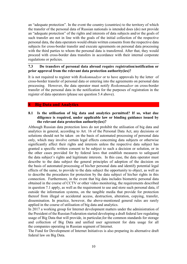<span id="page-10-0"></span>an "adequate protection". In the event the country (countries) to the territory of which the transfer of the personal data of Russian nationals is intended does (do) not provide an "adequate protection" of the rights and interests of data subjects and/or the goals of such transfer are not in line with the goals of the initial collection of the respective personal data, the data operators would obtain written consents from the respective data subjects for cross-border transfer and execute agreements on personal data processing with the third parties to whom the personal data is transferred. After that, they would proceed with cross-border data transfers in accordance with their internal corporate regulations or policies.

#### **7.3 Do transfers of personal data abroad require registration/notification or prior approval from the relevant data protection authority(ies)?**

It is not required to register with *Roskomnadzor* or to have approvals by the letter of cross-border transfer of personal data or entering into the agreements on personal data processing. However, the data operator must notify *Roskomnadzor* on cross-border transfer of the personal data in the notification for the purposes of registration in the register of data operators (please see question 5.4 above).

## **8 Big Data and Analytics**

## **8.1 Is the utilisation of big data and analytics permitted? If so, what due diligence is required, under applicable law or binding guidance issued by the relevant data protection authority(ies)?**

Although Russian data protection laws do not prohibit the utilisation of big data and analytics in general, according to Art. 16 of the Personal Data Act, any decisions or solutions should not be taken on the basis of automated processing of personal data only, which may involve certain legal effects concerning data subjects or otherwise significantly affect their rights and interests unless the respective data subject has granted a specific written consent to be subject to such a decision or solution, or in the other cases provided for by federal laws that establish measures to safeguard the data subject's rights and legitimate interests. In this case, the data operator must describe to the data subject the general principles of adoption of the decision on the basis of automated processing of his/her personal data and identify potential legal effects of the same, to provide to the data subject the opportunity to object, as well as to describe the procedures for protection by the data subject of his/her rights in this connection. Furthermore, in the event that big data includes biometric personal data obtained in the course of CCTV or other video monitoring, the requirements described in question 7.1 apply, as well as the requirement to use and store such personal data, if outside the information systems, on the tangible media that provide for protection thereof from illegal or accidental access, destruction, alteration, copying, transfer, dissemination. In practice, however, the above-mentioned general rules are rarely applied in the course of utilisation of big data and analytics.

In 2017 a working group for Internet development matters under the administration of the President of the Russian Federation started developing a draft federal law regulating usage of Big Data that will provide, in particular,for the common standards for storage and collection of Big Data and unified user agreement for data usage for all the companies operating in Russian segment of Internet.

The Fund for Development of Internet Initiatives is also preparing its alternative draft federal law on Big Data.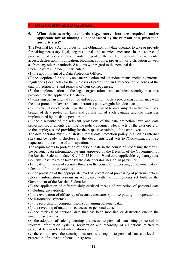#### <span id="page-11-0"></span>**9 Data Security and Data Breach**

#### **9.1 What data security standards (e.g., encryption) are required, under applicable law or binding guidance issued by the relevant data protection authority(ies)?**

The Personal Data Act provides for the obligation of a data operator to take or provide for taking necessary legal, organisational and technical measures in the course of processing of personal data in order to protect thereof from unlawful or accidental access, destruction, modification, blocking, copying, provision, or distribution as well as from any other unauthorised actions with regard to the personal data.

Such measures include, in particular:

(1) the appointment of a Data Protection Officer;

(2) the adoption of the policy on data protection and other documents, including internal regulations (local acts) for the purposes of prevention and detection of breaches of the data protection laws and removal of their consequences;

(3) the implementation of the legal, organisational and technical security measures provided for the applicable legislation;

(4) carrying out an internal control and/or audit for the data processing compliance with the data protection laws and data operator's policy/regulations/local acts;

(5) the evaluation of the damage that may be caused to data subjects in the event of a breach of data protection laws and correlation of such damage and the measures implemented by the data operator; and

(6) the disclosure of the relevant provisions of the data protection laws and data protection requirements defining the policy/documents/local acts of the data operator to the employees and providing for the respective training of the employees.

The data operator must publish its internal data protection policy (e.g., on its Internet site) and be ready to disclose all the documents/local acts to *Roskomnadzor*, if so requested in the course of an inspection.

The requirements to protection of personal data in the course of processing thereof in the personal data information systems approved by the Decision of the Government of the Russian Federation dated 01.11.2012 No. 1119 and other applicable regulatory acts. Security measures to be taken by the data operator include, in particular:

(1) the determination of security threats in the course of processing of personal data in relevant information systems;

(2) the provision of the appropriate level of protection of processing of personal data in relevant information systems in accordance with the requirements set forth by the Government of the Russian Federation;

(3) the application of different duly certified means of protection of personal data (including, encryption);

(4) the evaluation of efficiency of security measures (prior to putting into operation of the information systems);

(5) the recording of computer media containing personal data;

(6) the revealing of unauthorised access to personal data;

(7) the retrieval of personal data that has been modified or destructed due to the unauthorised access;

(8) the adoption of rules governing the access to personal data being processed in relevant information systems, registration and recording of all actions related to personal data in relevant information systems;

(9) the control over the security measures with regard to personal data and level of protection of relevant information systems.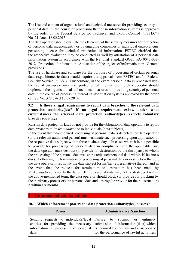<span id="page-12-0"></span>The List and content of organisational and technical measures for providing security of personal data in the course of processing thereof in information systems is approved by the order of the Federal Service for Technical and Export Control ("FSTEC") No. 21 dated 18.02.2013.

The data operator should evaluate the efficiency of the security measures for protection of personal data independently or by engaging companies or individual entrepreneurs possessing license for technical protection of information. FSTEC clarified that the respective evaluation may be conducted as well by attestation of a personal data information system in accordance with the National Standard GOST RO 0043-003- 2012 "Protection of information. Attestation of the objects of informatisation. General provisions".

The use of hardware and software for the purposes of processing of certain personal data (e.g., biometric data) would require the approval from FSTEC and/or Federal Security Service ("FSS"). Furthermore, in the event personal data is processed with the use of encryption means of protection of information, the data operator should implement the organisational and technical measures for providing security of personal data in the course of processing thereof in information systems approved by the order of FSS No. 378 dated 10.07.2014.

## **9.2 Is there a legal requirement to report data breaches to the relevant data protection authority(ies)? If no legal requirement exists, under what circumstances the relevant data protection authority(ies) expects voluntary breach reporting?**

Russian data protection laws do not provide for the obligation of data operators to report data breaches to *Roskomnadzor* or to individuals (data subjects).

In the event that unauthorised processing of personal data is detected, the data operator (or the relevant authorised person) must terminate such processing upon application of the respective data subject within three business days. In cases where it is not possible to provide for processing of personal data in compliance with the applicable law, the data operator must destruct (or provide for destruction by the third party to whom the processing of the personal data was entrusted) such personal data within 10 business days. Following the termination of processing of personal data or destruction thereof, the data operator must notify the data subject (or his/her representative) thereof, and in the event that the request for termination or destruction has been made by *Roskomnadzor*, to notify the latter. If the personal data may not be destroyed within the above-mentioned term, the data operator should block (or provide for blocking by the third party processor) the personal data and destroy (or provide for their destruction) it within six months.

# **10 Enforcement and Sanctions**

| <b>Power</b> | <b>Administrative Sanction</b>                                                                                                                                                                                                                                                     |  |  |
|--------------|------------------------------------------------------------------------------------------------------------------------------------------------------------------------------------------------------------------------------------------------------------------------------------|--|--|
| data.        | Sending requests to individuals/legal Failure to submit, or untimely<br>entities for providing the necessary submission of, information (data) which<br>information on processing of personal is required by the law and is necessary<br>for the performance of lawful activities, |  |  |

#### **10.1 Which enforcement powers the data protection authority(ies) possess?**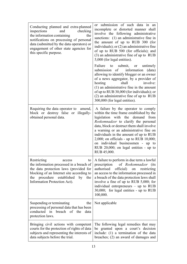| Conducting planned and extra-planned<br>inspections<br>and<br>checking<br>the information containing<br>the<br>notifications on processing of personal<br>data (submitted by the data operators) or<br>engagement of other state agencies for<br>this specific purpose. | or submission of such data in an<br>incomplete or distorted manner shall<br>involve the following administrative<br>sanctions: (1) an administrative fine in<br>the amount of up to RUB 300 (for<br>individuals); or $(2)$ an administrative fine<br>of up to RUB 500 (for officials); and<br>(3) an administrative fine of up to RUB<br>5,000 (for legal entities).                                                                        |  |  |  |  |
|-------------------------------------------------------------------------------------------------------------------------------------------------------------------------------------------------------------------------------------------------------------------------|---------------------------------------------------------------------------------------------------------------------------------------------------------------------------------------------------------------------------------------------------------------------------------------------------------------------------------------------------------------------------------------------------------------------------------------------|--|--|--|--|
|                                                                                                                                                                                                                                                                         | Failure<br>to submit, or untimely<br>information<br>submission of<br>(data)<br>allowing to identify blogger or an owner<br>of a news aggregator, by a provider of<br>involve:<br>hosting<br>shall<br>$(1)$ an administrative fine in the amount<br>of up to RUB 30,000 (for individuals); or<br>(2) an administrative fine of up to RUB<br>300,000 (for legal entities).                                                                    |  |  |  |  |
| Requiring the data operator to<br>amend,<br>block or destroy false or illegally-<br>obtained personal data.                                                                                                                                                             | A failure by the operator to comply<br>within the time frame established by the<br>legislation with the demand<br>from<br>Roskomnadzor to clarify the personal<br>data, block or destruct them shall involve<br>a warning or an administrative fine on<br>individuals in the amount of up to RUB<br>$2,000$ ; on officials - up to RUB 10,000;<br>on individual businessmen - up to<br>RUB 20,000; on legal entities - up to<br>RUB 45,000. |  |  |  |  |
| Restricting<br>to<br>access<br>the information processed in a breach of<br>the data protection laws (provided for<br>blocking of an Internet site according to<br>procedure established<br>by<br>the<br>the<br>Information Protection Act).                             | A failure to perform in due term a lawful<br>prescription<br>of Roskomnadzor (its<br>authorised<br>official)<br>restricting<br>on<br>an access to the information processed in<br>a breach of the data protection laws shall<br>involve a fine of up to RUB 5,000; for<br>individual entrepreneurs $-$ up to RUB<br>30,000; for legal entities - up to RUB<br>100,000.                                                                      |  |  |  |  |
| Suspending or terminating<br>the<br>processing of personal data that has been<br>conducted in breach of the<br>data<br>protection laws.                                                                                                                                 | Not applicable                                                                                                                                                                                                                                                                                                                                                                                                                              |  |  |  |  |
| Bringing civil actions with competent<br>courts for the protection of rights of data<br>subjects and representing the interests of<br>data subjects before the trial.                                                                                                   | The following legal remedies that may<br>be granted upon a court's decision<br>include: (1) a termination of the data<br>breaches; (2) an award of damages and                                                                                                                                                                                                                                                                              |  |  |  |  |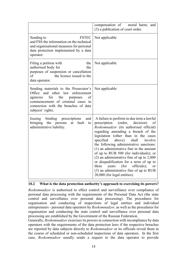|                                                                                                                                                                                                                               | compensation of moral harm; and<br>(3) a publication of court order.                                                                                                                                                                                                                                                                                                                                                                                                                                                                                                                                                         |
|-------------------------------------------------------------------------------------------------------------------------------------------------------------------------------------------------------------------------------|------------------------------------------------------------------------------------------------------------------------------------------------------------------------------------------------------------------------------------------------------------------------------------------------------------------------------------------------------------------------------------------------------------------------------------------------------------------------------------------------------------------------------------------------------------------------------------------------------------------------------|
| Sending to<br><b>FSTEC</b><br>and FSS the information on the technical<br>and organisational measures for personal<br>data protection implemented by a data<br>operator.                                                      | Not applicable                                                                                                                                                                                                                                                                                                                                                                                                                                                                                                                                                                                                               |
| Filing a petition with<br>the<br>authorised body for<br>the<br>purposes of suspension or cancellation<br>of<br>the licence issued to the<br>data operator.                                                                    | Not applicable                                                                                                                                                                                                                                                                                                                                                                                                                                                                                                                                                                                                               |
| Sending materials to the Prosecutor's<br>Office<br>and other law<br>enforcement<br>for<br>the<br>agencies<br>of<br>purposes<br>commencement of criminal cases in<br>connection with the breaches of data<br>subjects' rights. | Not applicable                                                                                                                                                                                                                                                                                                                                                                                                                                                                                                                                                                                                               |
| Issuing<br>binding<br>prescriptions<br>and<br>fault<br>bringing<br>the<br>persons<br>at<br>to<br>administrative liability.                                                                                                    | A failure to perform in due term a lawful<br>(order,<br>prescription<br>decision)<br>of<br>Roskomnadzor (its authorised official)<br>regarding amending a breach of the<br>legislation (other than in the cases<br>specified<br>shall<br>above)<br>involve<br>the following administrative sanctions:<br>$(1)$ an administrative fine in the amount<br>of up to RUB 500 (for individuals); or<br>$(2)$ an administrative fine of up to 2,000<br>or disqualification for a term of up to<br>officials);<br>three<br>(for<br>years<br><sub>or</sub><br>(3) an administrative fine of up to RUB<br>20,000 (for legal entities). |

# **10.2 What is the data protection authority's approach to exercising its powers?**

*Roskomnadzor* is authorised to effect control and surveillance over compliance of personal data processing with the requirements of the Personal Data Act (the state control and surveillance over personal data processing). The procedures for organisation and conducting of inspections of legal entities and individual entrepreneurs - personal data operators by *Roskomnadzor,* as well as the procedures for organisation and conducting the state control and surveillance over personal data processing are established by the Government of the Russian Federation.

Generally, *Roskomnadzor* exercises its powers in connection with incompliance by data operators with the requirements of the data protection laws if the respective breaches are reported by data subjects directly to *Roskomnadzor* or its officials reveal them in the course of scheduled or non-scheduled inspections of data operators. In the first case, *Roskomnadzor* usually sends a request to the data operator to provide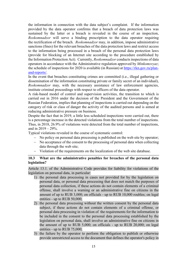the information in connection with the data subject's complaint. If the information provided by the data operator confirms that a breach of data protection laws was sustained by the latter or a breach is revealed in the course of an inspection, *Roskomnadzor* will serve a binding prescription to the data operator requiring the rectification of the breach. *Roskomnadzor* may, in addition, impose administrative sanctions (fines) for the relevant breaches of the data protection laws and restrict access to the information being processed in a breach of the personal data protection laws (provide for blocking of an Internet site according to the procedure established by the Information Protection Act). Currently, *Roskomnadzor* conducts inspections of data operators in accordance with the Administrative regulation approved by *Minkomsvyaz*; the schedule of inspections for 2020 is available (in Russian) at [https://rkn.gov.ru/plan](https://rkn.gov.ru/plan-and-reports/)[and-reports/.](https://rkn.gov.ru/plan-and-reports/)

In the event that breaches constituting crimes are committed (i.e., illegal gathering or dissemination of the information constituting private or family secret of an individual), *Roskomnadzor* may, with the necessary assistance of law enforcement agencies, institute criminal proceedings with respect to officers of the data operator.

A risk-based model of control and supervision activities, the transition to which is carried out in 2016 under the decision of the President and the Government of the Russian Federation, implies that planning of inspections is carried out depending on the category of risk or class of danger the activity of the audited persons and is aimed at reducing administrative pressure on business.

Despite the fact that in 2019, a little less scheduled inspections were carried out, there is a percentage increase in the detected violations from the total number of inspections. Thus, in 2018, 26.9% of violations were detected from the total number of inspections, and in  $2019 - 29\%$ .

Typical violations revealed in the course of systematic control:

- No policy on personal data processing is published on the web site by operator;
- No acceptance of the consent to the processing of personal data when collecting data through the web site;
- Violation of the requirements on the localization of the web site database.

#### **10.3 What are the administrative penalties for breaches of the personal data legislation?**

Article 13.1. of the Administrative Code provides for liability for violations of the legislation on personal data, in particular:

- 1) the personal data processing in cases not provided for by the legislation on personal data, or personal data processing that does not match the purposes of personal data collection, if these actions do not contain elements of a criminal offense, shall involve a warning or an administrative fine on citizens in the amount of up to RUB 3,000; on officials - up to RUB 10,000 roubles; on legal entities - up to RUB 50,000;
- 2) the personal data processing without the written consent by the personal data subject, if these actions do not contain elements of a criminal offense, or personal data processing in violation of the requirements for the information to be included in the consent to the personal data processing established by the legislation on personal data, shall involve an administrative fine on citizens in the amount of up to RUB 5,000; on officials - up to RUB 20,000; on legal entities - up to RUB 75,000;
- 3) the failure by the operator to perform the obligation to publish or otherwise provide unrestricted access to the document that defines the operator's policy in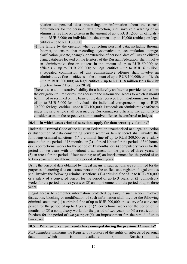relation to personal data processing, or information about the current requirements for the personal data protection, shall involve a warning or an administrative fine on citizens in the amount of up to RUB 1,500; on officials up to RUB 6,000; on individual businessmen - up to 10,000 roubles; on legal entities - up to RUB 30,000;

4) the failure by the operator when collecting personal data, including through Internet, to ensure that recording, systematization, accumulation, storage, clarification (update, change), or extraction of personal data of Russian citizens using databases located on the territory of the Russian Federation, shall involve an administrative fine on citizens in the amount of up to RUB 50,000; on officials - up to RUB 200,000; on legal entities – up to RUB 6 million; a repeated commission of this administrative offense shall involve an administrative fine on citizens in the amount of up to RUB 100,000; on officials – up to RUB 800,000; on legal entities - up to RUB 18 million (this liability effective from 2 December 2019).

There is also administrative liability for a failure by an Internet provider to perform the obligation to limit or resume access to the information access to which it should be limited or resumed on the basis of the data received from Roskomnadzor: a fine of up to RUB 5,000 for individuals; for individual entrepreneurs – up to RUB 30,000; for legal entities - up to RUB 100,000. Protocols on administrative offences under the said article shall be issued by Roskomnadzor officials. The authority to consider cases on the respective administrative offences is conferred to judges.

# **10.4 In which cases criminal sanctions apply for data security violations?**

Under the Criminal Code of the Russian Federation unauthorised or illegal collection or distribution of data constituting private secret or family secret shall involve the following criminal sanctions: (1) a criminal fine of up to RUB 200,000 or a salary amount for the period of 18 months; or (2) a forced labour for the period of 360 hours; or (3) correctional works for the period of 12 months; or (4) compulsory works for the period of two years with or without disablement for the period of three years; or (5) an arrest for the period of four months; or (6) an imprisonment for the period of up to two years with disablement for a period of three years.

Using the personal data obtained by illegal means, if such actions are committed for the purposes of entering data on a straw person in the unified state register of legal entities shall involve the following criminal sanctions: (1) a criminal fine of up to RUB 500,000 or a salary of a convicted person for the period of up to 3 years; or (2) compulsory works for the period of three years; or (3) an imprisonment for the period of up to three years.

Illegal access to computer information protected by law, if such action involved distraction, blocking or modification of such information shall involve the following criminal sanctions: (1) a criminal fine of up to RUB 200,000 or a salary of a convicted person for the period of up to 3 years; or (2) correctional works for the period of 12 months; or (3) a compulsory works for the period of two years; or (4) a restriction of freedom for the period of two years; or (5) an imprisonment for the period of up to two years.

# **10.5 What enforcement trends have emerged during the previous 12 months?**

|      |       | <i>Roskomnadzor</i> maintains the Register of violators of the rights of subjects of personal |                   |          |    |
|------|-------|-----------------------------------------------------------------------------------------------|-------------------|----------|----|
| data | which | available                                                                                     | (n <sub>n</sub> ) | Russian) | at |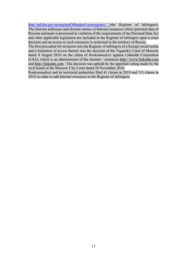<http://pd.rkn.gov.ru/registerOffenders/viewregistry/> (the Register of infringers). The Internet addresses and domain names of Internet resources where personal data of Russian nationals is processed in violation of the requirements of the Personal Data Act and other applicable legislation are included in the Register of infringers upon a court decision and an access to such resources is restricted in the territory of Russia.

The first precedent for inclusion into the Register of infringers of a foreign social media and a limitation of access thereto was the decision of the Tagansky Court of Moscow dated 4 August 2016 on the claim of *Roskomnadzor* against LinkedIn Corporation (USA), which is an administrator of the internet – resources http:/ /www.linkedin.com and http://linkedin.com. The decision was upheld by the appellate ruling made by the civil board of the Moscow City Court dated 10 November 2016.

Roskomnadzor and its territorial authorities filed 41 claims in 2019 and 111 claims in 2018 in order to add Internet resources to the Register of infringers.